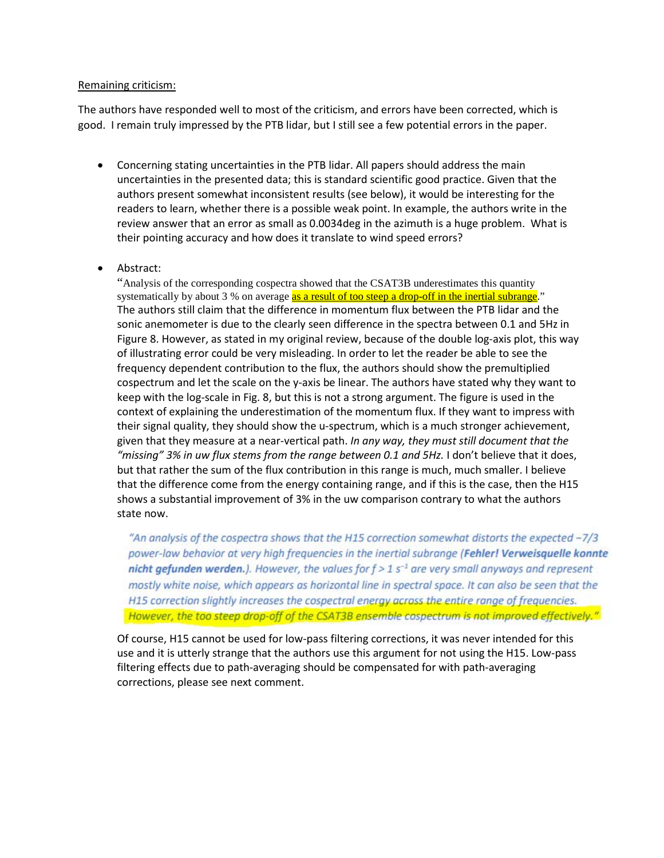## Remaining criticism:

The authors have responded well to most of the criticism, and errors have been corrected, which is good. I remain truly impressed by the PTB lidar, but I still see a few potential errors in the paper.

- Concerning stating uncertainties in the PTB lidar. All papers should address the main uncertainties in the presented data; this is standard scientific good practice. Given that the authors present somewhat inconsistent results (see below), it would be interesting for the readers to learn, whether there is a possible weak point. In example, the authors write in the review answer that an error as small as 0.0034deg in the azimuth is a huge problem. What is their pointing accuracy and how does it translate to wind speed errors?
- Abstract:

"Analysis of the corresponding cospectra showed that the CSAT3B underestimates this quantity systematically by about 3 % on average as a result of too steep a drop-off in the inertial subrange." The authors still claim that the difference in momentum flux between the PTB lidar and the sonic anemometer is due to the clearly seen difference in the spectra between 0.1 and 5Hz in Figure 8. However, as stated in my original review, because of the double log-axis plot, this way of illustrating error could be very misleading. In order to let the reader be able to see the frequency dependent contribution to the flux, the authors should show the premultiplied cospectrum and let the scale on the y-axis be linear. The authors have stated why they want to keep with the log-scale in Fig. 8, but this is not a strong argument. The figure is used in the context of explaining the underestimation of the momentum flux. If they want to impress with their signal quality, they should show the u-spectrum, which is a much stronger achievement, given that they measure at a near-vertical path. *In any way, they must still document that the "missing" 3% in uw flux stems from the range between 0.1 and 5Hz.* I don't believe that it does, but that rather the sum of the flux contribution in this range is much, much smaller. I believe that the difference come from the energy containing range, and if this is the case, then the H15 shows a substantial improvement of 3% in the uw comparison contrary to what the authors state now.

"An analysis of the cospectra shows that the H15 correction somewhat distorts the expected -7/3 power-law behavior at very high frequencies in the inertial subrange (Fehler! Verweisquelle konnte nicht gefunden werden.). However, the values for  $f > 1$  s<sup>-1</sup> are very small anyways and represent mostly white noise, which appears as horizontal line in spectral space. It can also be seen that the H15 correction slightly increases the cospectral energy across the entire range of frequencies. However, the too steep drop-off of the CSAT3B ensemble cospectrum is not improved effectively."

Of course, H15 cannot be used for low-pass filtering corrections, it was never intended for this use and it is utterly strange that the authors use this argument for not using the H15. Low-pass filtering effects due to path-averaging should be compensated for with path-averaging corrections, please see next comment.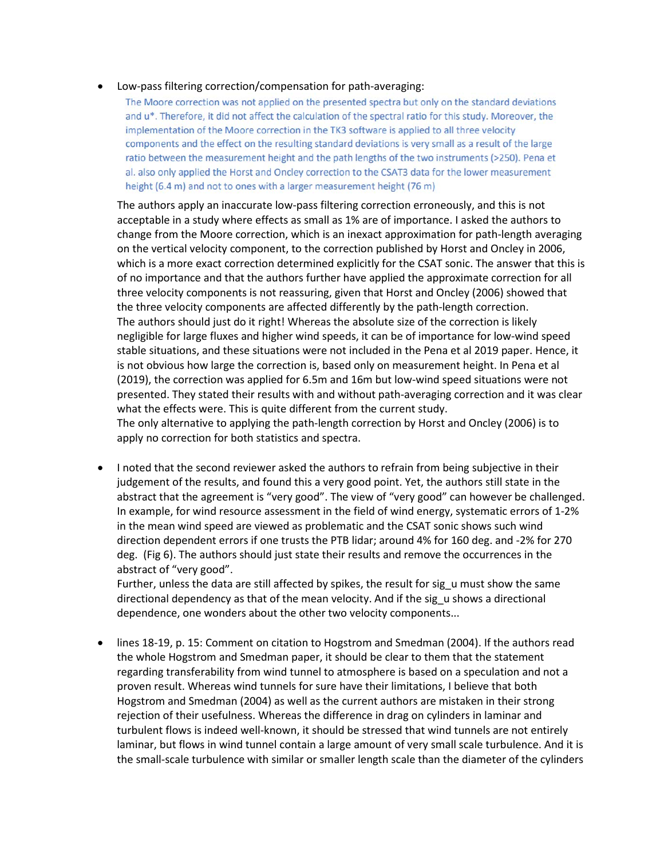## • Low-pass filtering correction/compensation for path-averaging:

The Moore correction was not applied on the presented spectra but only on the standard deviations and u\*. Therefore, it did not affect the calculation of the spectral ratio for this study. Moreover, the implementation of the Moore correction in the TK3 software is applied to all three velocity components and the effect on the resulting standard deviations is very small as a result of the large ratio between the measurement height and the path lengths of the two instruments (>250). Pena et al. also only applied the Horst and Oncley correction to the CSAT3 data for the lower measurement height (6.4 m) and not to ones with a larger measurement height (76 m)

The authors apply an inaccurate low-pass filtering correction erroneously, and this is not acceptable in a study where effects as small as 1% are of importance. I asked the authors to change from the Moore correction, which is an inexact approximation for path-length averaging on the vertical velocity component, to the correction published by Horst and Oncley in 2006, which is a more exact correction determined explicitly for the CSAT sonic. The answer that this is of no importance and that the authors further have applied the approximate correction for all three velocity components is not reassuring, given that Horst and Oncley (2006) showed that the three velocity components are affected differently by the path-length correction. The authors should just do it right! Whereas the absolute size of the correction is likely negligible for large fluxes and higher wind speeds, it can be of importance for low-wind speed stable situations, and these situations were not included in the Pena et al 2019 paper. Hence, it is not obvious how large the correction is, based only on measurement height. In Pena et al (2019), the correction was applied for 6.5m and 16m but low-wind speed situations were not presented. They stated their results with and without path-averaging correction and it was clear what the effects were. This is quite different from the current study. The only alternative to applying the path-length correction by Horst and Oncley (2006) is to apply no correction for both statistics and spectra.

• I noted that the second reviewer asked the authors to refrain from being subjective in their judgement of the results, and found this a very good point. Yet, the authors still state in the abstract that the agreement is "very good". The view of "very good" can however be challenged. In example, for wind resource assessment in the field of wind energy, systematic errors of 1-2% in the mean wind speed are viewed as problematic and the CSAT sonic shows such wind direction dependent errors if one trusts the PTB lidar; around 4% for 160 deg. and -2% for 270 deg. (Fig 6). The authors should just state their results and remove the occurrences in the abstract of "very good".

Further, unless the data are still affected by spikes, the result for sig\_u must show the same directional dependency as that of the mean velocity. And if the sig\_u shows a directional dependence, one wonders about the other two velocity components...

• lines 18-19, p. 15: Comment on citation to Hogstrom and Smedman (2004). If the authors read the whole Hogstrom and Smedman paper, it should be clear to them that the statement regarding transferability from wind tunnel to atmosphere is based on a speculation and not a proven result. Whereas wind tunnels for sure have their limitations, I believe that both Hogstrom and Smedman (2004) as well as the current authors are mistaken in their strong rejection of their usefulness. Whereas the difference in drag on cylinders in laminar and turbulent flows is indeed well-known, it should be stressed that wind tunnels are not entirely laminar, but flows in wind tunnel contain a large amount of very small scale turbulence. And it is the small-scale turbulence with similar or smaller length scale than the diameter of the cylinders